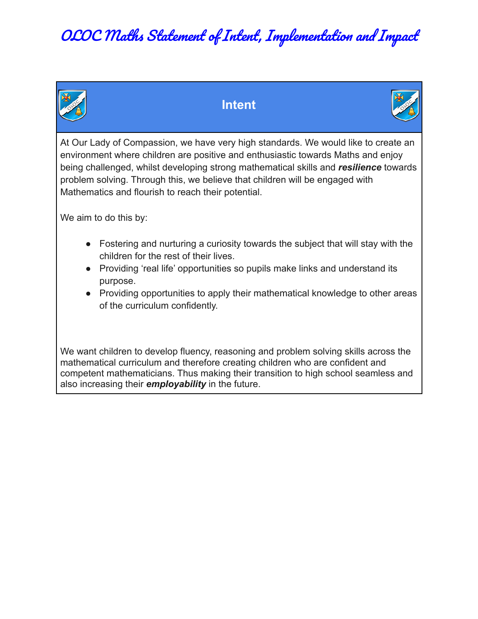

#### **Intent**



At Our Lady of Compassion, we have very high standards. We would like to create an environment where children are positive and enthusiastic towards Maths and enjoy being challenged, whilst developing strong mathematical skills and *resilience* towards problem solving. Through this, we believe that children will be engaged with Mathematics and flourish to reach their potential.

We aim to do this by:

- Fostering and nurturing a curiosity towards the subject that will stay with the children for the rest of their lives.
- Providing 'real life' opportunities so pupils make links and understand its purpose.
- Providing opportunities to apply their mathematical knowledge to other areas of the curriculum confidently.

We want children to develop fluency, reasoning and problem solving skills across the mathematical curriculum and therefore creating children who are confident and competent mathematicians. Thus making their transition to high school seamless and also increasing their *employability* in the future.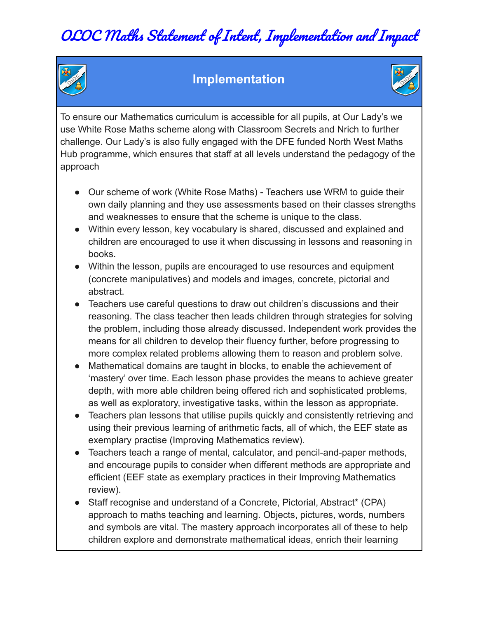

#### **Implementation**



To ensure our Mathematics curriculum is accessible for all pupils, at Our Lady's we use White Rose Maths scheme along with Classroom Secrets and Nrich to further challenge. Our Lady's is also fully engaged with the DFE funded North West Maths Hub programme, which ensures that staff at all levels understand the pedagogy of the approach

- Our scheme of work (White Rose Maths) Teachers use WRM to guide their own daily planning and they use assessments based on their classes strengths and weaknesses to ensure that the scheme is unique to the class.
- Within every lesson, key vocabulary is shared, discussed and explained and children are encouraged to use it when discussing in lessons and reasoning in books.
- Within the lesson, pupils are encouraged to use resources and equipment (concrete manipulatives) and models and images, concrete, pictorial and abstract.
- Teachers use careful questions to draw out children's discussions and their reasoning. The class teacher then leads children through strategies for solving the problem, including those already discussed. Independent work provides the means for all children to develop their fluency further, before progressing to more complex related problems allowing them to reason and problem solve.
- Mathematical domains are taught in blocks, to enable the achievement of 'mastery' over time. Each lesson phase provides the means to achieve greater depth, with more able children being offered rich and sophisticated problems, as well as exploratory, investigative tasks, within the lesson as appropriate.
- Teachers plan lessons that utilise pupils quickly and consistently retrieving and using their previous learning of arithmetic facts, all of which, the EEF state as exemplary practise (Improving Mathematics review).
- Teachers teach a range of mental, calculator, and pencil-and-paper methods, and encourage pupils to consider when different methods are appropriate and efficient (EEF state as exemplary practices in their Improving Mathematics review).
- Staff recognise and understand of a Concrete, Pictorial, Abstract\* (CPA) approach to maths teaching and learning. Objects, pictures, words, numbers and symbols are vital. The mastery approach incorporates all of these to help children explore and demonstrate mathematical ideas, enrich their learning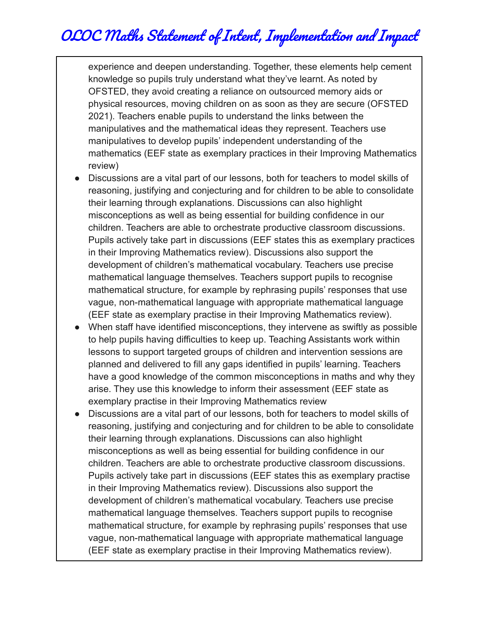OLOC Maths Statement of Intent, Implementation and Impact

experience and deepen understanding. Together, these elements help cement knowledge so pupils truly understand what they've learnt. As noted by OFSTED, they avoid creating a reliance on outsourced memory aids or physical resources, moving children on as soon as they are secure (OFSTED 2021). Teachers enable pupils to understand the links between the manipulatives and the mathematical ideas they represent. Teachers use manipulatives to develop pupils' independent understanding of the mathematics (EEF state as exemplary practices in their Improving Mathematics review)

- Discussions are a vital part of our lessons, both for teachers to model skills of reasoning, justifying and conjecturing and for children to be able to consolidate their learning through explanations. Discussions can also highlight misconceptions as well as being essential for building confidence in our children. Teachers are able to orchestrate productive classroom discussions. Pupils actively take part in discussions (EEF states this as exemplary practices in their Improving Mathematics review). Discussions also support the development of children's mathematical vocabulary. Teachers use precise mathematical language themselves. Teachers support pupils to recognise mathematical structure, for example by rephrasing pupils' responses that use vague, non-mathematical language with appropriate mathematical language (EEF state as exemplary practise in their Improving Mathematics review).
- When staff have identified misconceptions, they intervene as swiftly as possible to help pupils having difficulties to keep up. Teaching Assistants work within lessons to support targeted groups of children and intervention sessions are planned and delivered to fill any gaps identified in pupils' learning. Teachers have a good knowledge of the common misconceptions in maths and why they arise. They use this knowledge to inform their assessment (EEF state as exemplary practise in their Improving Mathematics review
- Discussions are a vital part of our lessons, both for teachers to model skills of reasoning, justifying and conjecturing and for children to be able to consolidate their learning through explanations. Discussions can also highlight misconceptions as well as being essential for building confidence in our children. Teachers are able to orchestrate productive classroom discussions. Pupils actively take part in discussions (EEF states this as exemplary practise in their Improving Mathematics review). Discussions also support the development of children's mathematical vocabulary. Teachers use precise mathematical language themselves. Teachers support pupils to recognise mathematical structure, for example by rephrasing pupils' responses that use vague, non-mathematical language with appropriate mathematical language (EEF state as exemplary practise in their Improving Mathematics review).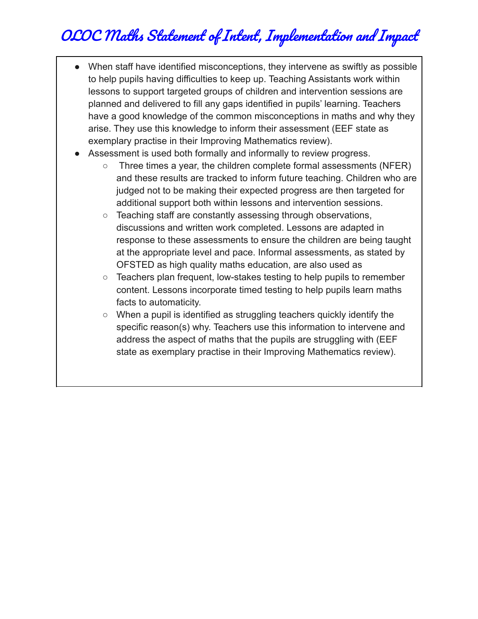- When staff have identified misconceptions, they intervene as swiftly as possible to help pupils having difficulties to keep up. Teaching Assistants work within lessons to support targeted groups of children and intervention sessions are planned and delivered to fill any gaps identified in pupils' learning. Teachers have a good knowledge of the common misconceptions in maths and why they arise. They use this knowledge to inform their assessment (EEF state as exemplary practise in their Improving Mathematics review).
- Assessment is used both formally and informally to review progress.
	- Three times a year, the children complete formal assessments (NFER) and these results are tracked to inform future teaching. Children who are judged not to be making their expected progress are then targeted for additional support both within lessons and intervention sessions.
	- Teaching staff are constantly assessing through observations, discussions and written work completed. Lessons are adapted in response to these assessments to ensure the children are being taught at the appropriate level and pace. Informal assessments, as stated by OFSTED as high quality maths education, are also used as
	- Teachers plan frequent, low-stakes testing to help pupils to remember content. Lessons incorporate timed testing to help pupils learn maths facts to automaticity.
	- When a pupil is identified as struggling teachers quickly identify the specific reason(s) why. Teachers use this information to intervene and address the aspect of maths that the pupils are struggling with (EEF state as exemplary practise in their Improving Mathematics review).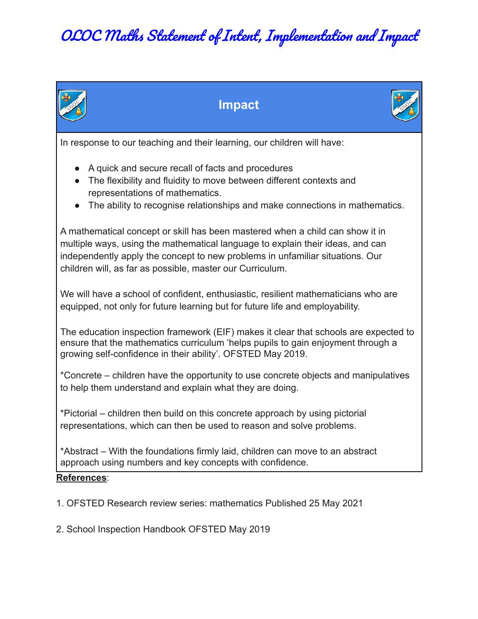